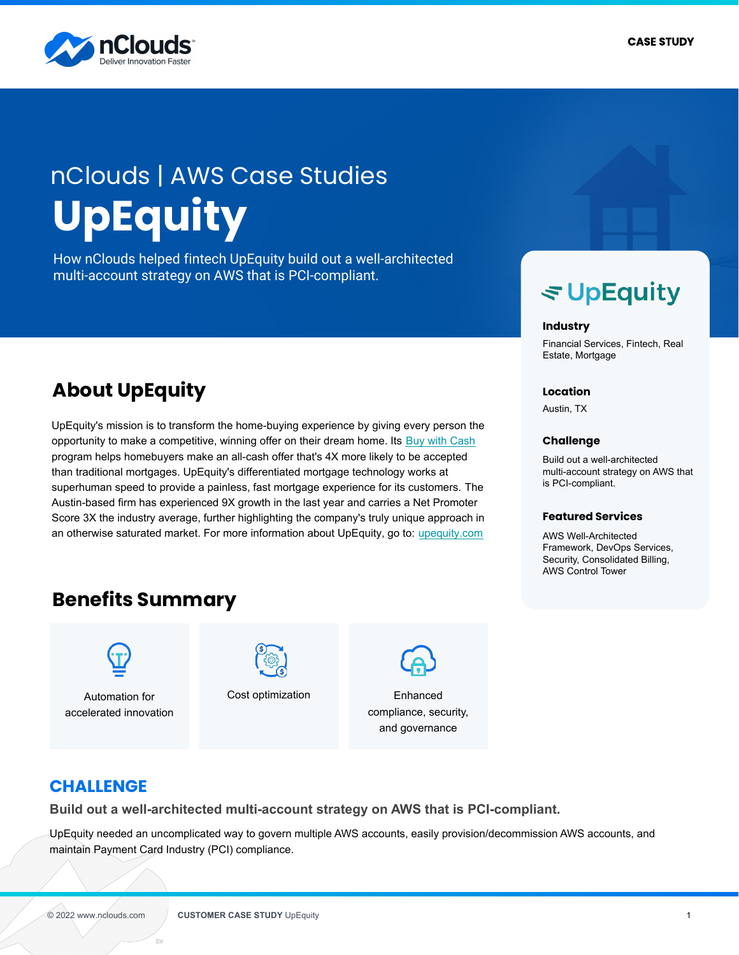

# **UpEquity** nClouds | AWS Case Studies

How nClouds helped fintech UpEquity build out a well-architected multi-account strategy on AWS that is PCI-compliant.

# **About UpEquity**

UpEquity's mission is to transform the home-buying experience by giving every person the opportunity to make a competitive, winning offer on their dream home. Its [Buy with Cash](https://www.upequity.com/buy-a-home-with-cash) program helps homebuyers make an all-cash offer that's 4X more likely to be accepted than traditional mortgages. UpEquity's differentiated mortgage technology works at superhuman speed to provide a painless, fast mortgage experience for its customers. The Austin-based firm has experienced 9X growth in the last year and carries a Net Promoter Score 3X the industry average, further highlighting the company's truly unique approach in an otherwise saturated market. For more information about UpEquity, go to: [upequity.com](https://www.upequity.com/)

# **Benefits Summary**



Automation for accelerated innovation



Cost optimization Enhanced



compliance, security, and governance

## **CHALLENGE**

**Build out a well-architected multi-account strategy on AWS that is PCI-compliant.**

UpEquity needed an uncomplicated way to govern multiple AWS accounts, easily provision/decommission AWS accounts, and maintain Payment Card Industry (PCI) compliance.

# ₹UpEquity

### **Industry**

Financial Services, Fintech, Real Estate, Mortgage

### **Location**

Austin, TX

#### **Challenge**

Build out a well-architected multi-account strategy on AWS that is PCI-compliant.

#### **Featured Services**

AWS Well-Architected Framework, DevOps Services, Security, Consolidated Billing, AWS Control Tower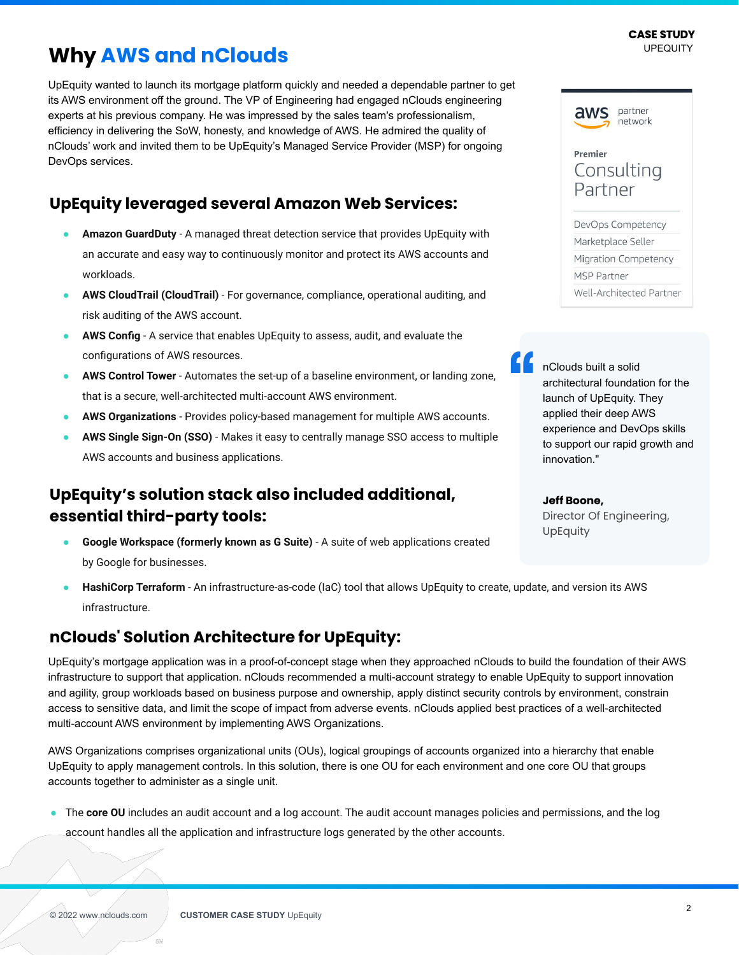#### UPEQUITY **CASE STUDY**

# **Why AWS and nClouds**

UpEquity wanted to launch its mortgage platform quickly and needed a dependable partner to get its AWS environment off the ground. The VP of Engineering had engaged nClouds engineering experts at his previous company. He was impressed by the sales team's professionalism, efficiency in delivering the SoW, honesty, and knowledge of AWS. He admired the quality of nClouds' work and invited them to be UpEquity's Managed Service Provider (MSP) for ongoing DevOps services.

# **UpEquity leveraged several Amazon Web Services:**

- Amazon GuardDuty A managed threat detection service that provides UpEquity with an accurate and easy way to continuously monitor and protect its AWS accounts and workloads.
- **AWS CloudTrail (CloudTrail)** For governance, compliance, operational auditing, and risk auditing of the AWS account.
- **AWS Config** A service that enables UpEquity to assess, audit, and evaluate the configurations of AWS resources.
- **AWS Control Tower** Automates the set-up of a baseline environment, or landing zone, that is a secure, well-architected multi-account AWS environment.
- **AWS Organizations** Provides policy-based management for multiple AWS accounts.
- AWS Single Sign-On (SSO) Makes it easy to centrally manage SSO access to multiple AWS accounts and business applications.

## **UpEquity's solution stack also included additional, essential third-party tools:**

- **Google Workspace (formerly known as G Suite)** A suite of web applications created by Google for businesses.
- **HashiCorp Terraform** An infrastructure-as-code (IaC) tool that allows UpEquity to create, update, and version its AWS infrastructure.

## **nClouds' Solution Architecture for UpEquity:**

UpEquity's mortgage application was in a proof-of-concept stage when they approached nClouds to build the foundation of their AWS infrastructure to support that application. nClouds recommended a multi-account strategy to enable UpEquity to support innovation and agility, group workloads based on business purpose and ownership, apply distinct security controls by environment, constrain access to sensitive data, and limit the scope of impact from adverse events. nClouds applied best practices of a well-architected multi-account AWS environment by implementing AWS Organizations.

AWS Organizations comprises organizational units (OUs), logical groupings of accounts organized into a hierarchy that enable UpEquity to apply management controls. In this solution, there is one OU for each environment and one core OU that groups accounts together to administer as a single unit.

- The **core OU** includes an audit account and a log account. The audit account manages policies and permissions, and the log
- account handles all the application and infrastructure logs generated by the other accounts.



nClouds built a solid architectural foundation for the launch of UpEquity. They applied their deep AWS experience and DevOps skills to support our rapid growth and innovation."

**Jeff Boone,**  Director Of Engineering, UpEquity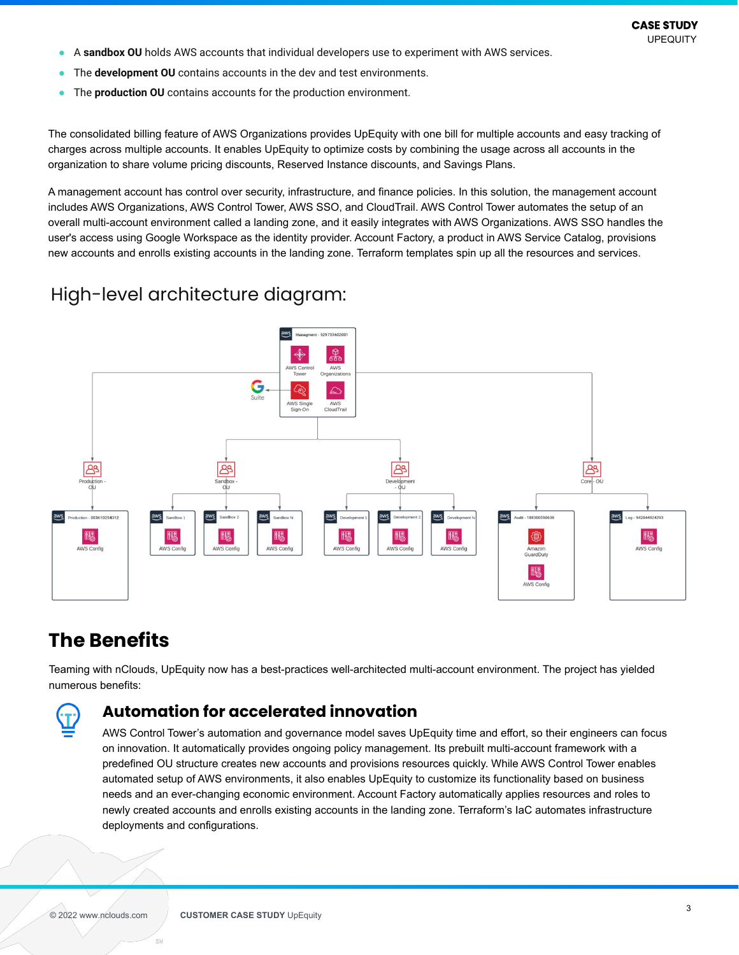- A **sandbox OU** holds AWS accounts that individual developers use to experiment with AWS services.
- The **development OU** contains accounts in the dev and test environments.
- The **production OU** contains accounts for the production environment.

The consolidated billing feature of AWS Organizations provides UpEquity with one bill for multiple accounts and easy tracking of charges across multiple accounts. It enables UpEquity to optimize costs by combining the usage across all accounts in the organization to share volume pricing discounts, Reserved Instance discounts, and Savings Plans.

A management account has control over security, infrastructure, and finance policies. In this solution, the management account includes AWS Organizations, AWS Control Tower, AWS SSO, and CloudTrail. AWS Control Tower automates the setup of an overall multi-account environment called a landing zone, and it easily integrates with AWS Organizations. AWS SSO handles the user's access using Google Workspace as the identity provider. Account Factory, a product in AWS Service Catalog, provisions new accounts and enrolls existing accounts in the landing zone. Terraform templates spin up all the resources and services.

# High-level architecture diagram:



# **The Benefits**

Teaming with nClouds, UpEquity now has a best-practices well-architected multi-account environment. The project has yielded numerous benefits:



### **Automation for accelerated innovation**

AWS Control Tower's automation and governance model saves UpEquity time and effort, so their engineers can focus on innovation. It automatically provides ongoing policy management. Its prebuilt multi-account framework with a predefined OU structure creates new accounts and provisions resources quickly. While AWS Control Tower enables automated setup of AWS environments, it also enables UpEquity to customize its functionality based on business needs and an ever-changing economic environment. Account Factory automatically applies resources and roles to newly created accounts and enrolls existing accounts in the landing zone. Terraform's IaC automates infrastructure deployments and configurations.